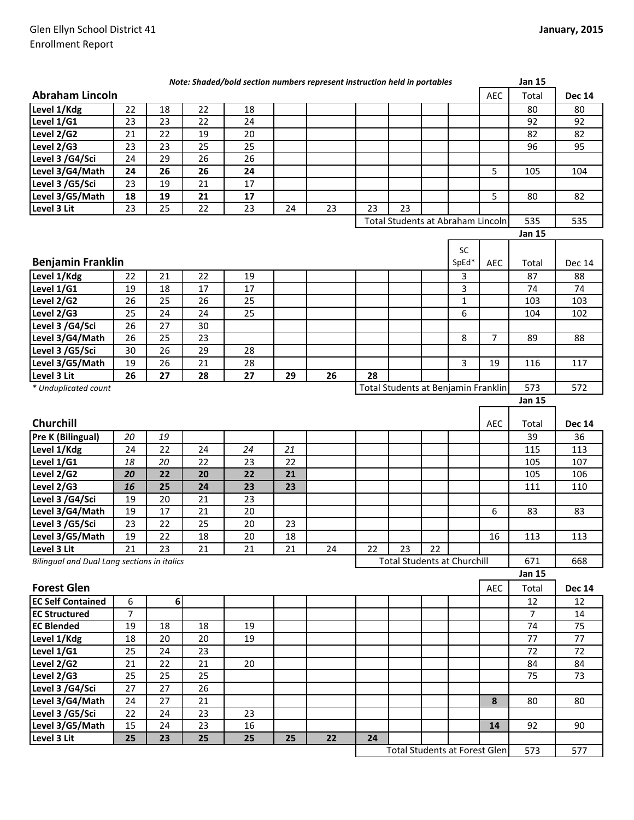|                                             |                |    |    | Note: Shaded/bold section numbers represent instruction held in portables |    |    |    |                                     |    |              |                | <b>Jan 15</b>  |               |
|---------------------------------------------|----------------|----|----|---------------------------------------------------------------------------|----|----|----|-------------------------------------|----|--------------|----------------|----------------|---------------|
| <b>Abraham Lincoln</b>                      |                |    |    |                                                                           |    |    |    |                                     |    |              | AEC            | Total          | <b>Dec 14</b> |
| Level 1/Kdg                                 | 22             | 18 | 22 | 18                                                                        |    |    |    |                                     |    |              |                | 80             | 80            |
| Level 1/G1                                  | 23             | 23 | 22 | 24                                                                        |    |    |    |                                     |    |              |                | 92             | 92            |
| Level 2/G2                                  | 21             | 22 | 19 | 20                                                                        |    |    |    |                                     |    |              |                | 82             | 82            |
| Level 2/G3                                  | 23             | 23 | 25 | 25                                                                        |    |    |    |                                     |    |              |                | 96             | 95            |
| Level 3 /G4/Sci                             | 24             | 29 | 26 | 26                                                                        |    |    |    |                                     |    |              |                |                |               |
| Level 3/G4/Math                             | 24             | 26 | 26 | 24                                                                        |    |    |    |                                     |    |              | 5              | 105            | 104           |
| Level 3 /G5/Sci                             | 23             | 19 | 21 | 17                                                                        |    |    |    |                                     |    |              |                |                |               |
| Level 3/G5/Math                             | 18             | 19 | 21 | 17                                                                        |    |    |    |                                     |    |              | 5              | 80             | 82            |
| Level 3 Lit                                 | 23             | 25 | 22 | 23                                                                        | 24 | 23 | 23 | 23                                  |    |              |                |                |               |
|                                             |                |    |    |                                                                           |    |    |    | Total Students at Abraham Lincoln   |    |              |                | 535            | 535           |
|                                             |                |    |    |                                                                           |    |    |    |                                     |    |              |                | <b>Jan 15</b>  |               |
|                                             |                |    |    |                                                                           |    |    |    |                                     |    | SC           |                |                |               |
| <b>Benjamin Franklin</b>                    |                |    |    |                                                                           |    |    |    |                                     |    | SpEd*        | <b>AEC</b>     | Total          | <b>Dec 14</b> |
| Level 1/Kdg                                 | 22             | 21 | 22 | 19                                                                        |    |    |    |                                     |    | 3            |                | 87             | 88            |
| Level 1/G1                                  | 19             | 18 | 17 | 17                                                                        |    |    |    |                                     |    | 3            |                | 74             | 74            |
| Level 2/G2                                  | 26             | 25 | 26 | 25                                                                        |    |    |    |                                     |    | $\mathbf{1}$ |                | 103            | 103           |
| Level 2/G3                                  | 25             | 24 | 24 | 25                                                                        |    |    |    |                                     |    | 6            |                | 104            | 102           |
| Level 3 /G4/Sci                             | 26             | 27 | 30 |                                                                           |    |    |    |                                     |    |              |                |                |               |
| Level 3/G4/Math                             | 26             | 25 | 23 |                                                                           |    |    |    |                                     |    | 8            | $\overline{7}$ | 89             | 88            |
| Level 3 /G5/Sci                             | 30             | 26 | 29 | 28                                                                        |    |    |    |                                     |    |              |                |                |               |
| Level 3/G5/Math                             | 19             | 26 | 21 | 28                                                                        |    |    |    |                                     |    | 3            | 19             | 116            | 117           |
| Level 3 Lit                                 | 26             | 27 | 28 | 27                                                                        | 29 | 26 | 28 |                                     |    |              |                |                |               |
| * Unduplicated count                        |                |    |    |                                                                           |    |    |    | Total Students at Benjamin Franklin |    |              |                | 573            | 572           |
|                                             |                |    |    |                                                                           |    |    |    |                                     |    |              |                | <b>Jan 15</b>  |               |
|                                             |                |    |    |                                                                           |    |    |    |                                     |    |              |                |                |               |
|                                             |                |    |    |                                                                           |    |    |    |                                     |    |              |                |                |               |
| Churchill                                   |                |    |    |                                                                           |    |    |    |                                     |    |              | <b>AEC</b>     | Total          | <b>Dec 14</b> |
| Pre K (Bilingual)                           | 20             | 19 |    |                                                                           |    |    |    |                                     |    |              |                | 39             | 36            |
| Level 1/Kdg                                 | 24             | 22 | 24 | 24                                                                        | 21 |    |    |                                     |    |              |                | 115            | 113           |
| Level 1/G1                                  | 18             | 20 | 22 | 23                                                                        | 22 |    |    |                                     |    |              |                | 105            | 107           |
| Level 2/G2                                  | 20             | 22 | 20 | 22                                                                        | 21 |    |    |                                     |    |              |                | 105            | 106           |
| Level 2/G3                                  | 16             | 25 | 24 | 23                                                                        | 23 |    |    |                                     |    |              |                | 111            | 110           |
| Level 3 /G4/Sci                             | 19             | 20 | 21 | 23                                                                        |    |    |    |                                     |    |              |                |                |               |
| Level 3/G4/Math                             | 19             | 17 | 21 | 20                                                                        |    |    |    |                                     |    |              | 6              | 83             | 83            |
| Level 3 /G5/Sci                             | 23             | 22 | 25 | 20                                                                        | 23 |    |    |                                     |    |              |                |                |               |
| Level 3/G5/Math                             | 19             | 22 | 18 | $20\,$                                                                    | 18 |    |    |                                     |    |              | 16             | 113            | 113           |
| Level 3 Lit                                 | 21             | 23 | 21 | 21                                                                        | 21 | 24 | 22 | 23                                  | 22 |              |                |                |               |
| Bilingual and Dual Lang sections in italics |                |    |    |                                                                           |    |    |    | <b>Total Students at Churchill</b>  |    |              |                | 671            | 668           |
|                                             |                |    |    |                                                                           |    |    |    |                                     |    |              |                | <b>Jan 15</b>  |               |
| <b>Forest Glen</b>                          |                |    |    |                                                                           |    |    |    |                                     |    |              | AEC            | Total          | <b>Dec 14</b> |
| <b>EC Self Contained</b>                    | 6              | 6  |    |                                                                           |    |    |    |                                     |    |              |                | 12             | 12            |
| <b>EC Structured</b>                        | $\overline{7}$ |    |    |                                                                           |    |    |    |                                     |    |              |                | $\overline{7}$ | 14            |
| <b>EC Blended</b>                           | 19             | 18 | 18 | 19                                                                        |    |    |    |                                     |    |              |                | 74             | 75            |
| Level 1/Kdg                                 | 18             | 20 | 20 | 19                                                                        |    |    |    |                                     |    |              |                | 77             | 77            |
| Level 1/G1                                  | 25             | 24 | 23 |                                                                           |    |    |    |                                     |    |              |                | 72             | 72            |
| Level 2/G2                                  | 21             | 22 | 21 | 20                                                                        |    |    |    |                                     |    |              |                | 84             | 84            |
| Level 2/G3                                  | 25             | 25 | 25 |                                                                           |    |    |    |                                     |    |              |                | 75             | 73            |
| Level 3 /G4/Sci                             | 27             | 27 | 26 |                                                                           |    |    |    |                                     |    |              |                |                |               |
| Level 3/G4/Math                             | 24             | 27 | 21 |                                                                           |    |    |    |                                     |    |              | 8              | 80             | 80            |
| Level 3 /G5/Sci                             | 22             | 24 | 23 | 23                                                                        |    |    |    |                                     |    |              |                |                |               |
| Level 3/G5/Math                             | 15             | 24 | 23 | 16                                                                        |    |    |    |                                     |    |              | 14             | 92             | 90            |
| Level 3 Lit                                 | 25             | 23 | 25 | 25                                                                        | 25 | 22 | 24 |                                     |    |              |                |                |               |